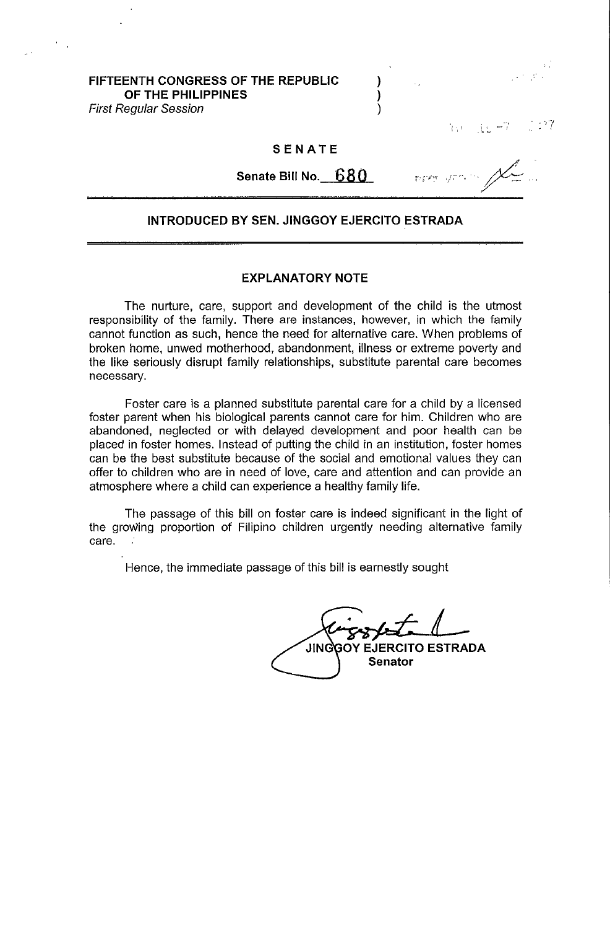**FIFTEENTH CONGRESS OF THE REPUBLIC** ) **OF THE PHILIPPINES** ) First Regular Session (1999)

ी । ।

## **SENATE**

**Senate Bill No.** 680

# **INTRODUCED BY SEN. JINGGOY EJERCITO ESTRADA**

## **EXPLANATORY NOTE**

The nurture, care, support and development of the child is the utmost responsibility of the family. There are instances, however, in which the family cannot function as such, hence the need for alternative care. When problems of broken home, unwed motherhood, abandonment, illness or extreme poverty and the like seriously disrupt family relationships, substitute parental care becomes necessary.

Foster care is a planned substitute parental care for a child by a licensed foster parent when his biological parents cannot care for him. Children who are abandoned, neglected or with delayed development and poor health can be placed in foster homes. Instead of putting the child in an institution, foster homes can be the best substitute because of the social and emotional values they can offer to children who are in need of love, care and attention and can provide an atmosphere where a child can experience a healthy family life.

The passage of this bill on foster care is indeed significant in the light of the growing proportion of Filipino children urgently needing alternative farnily care.  $\mathbb{R}^2$ 

Hence, the immediate passage of this bill is earnestly sought

**JING GOY EJERCITO ESTRADA Senator**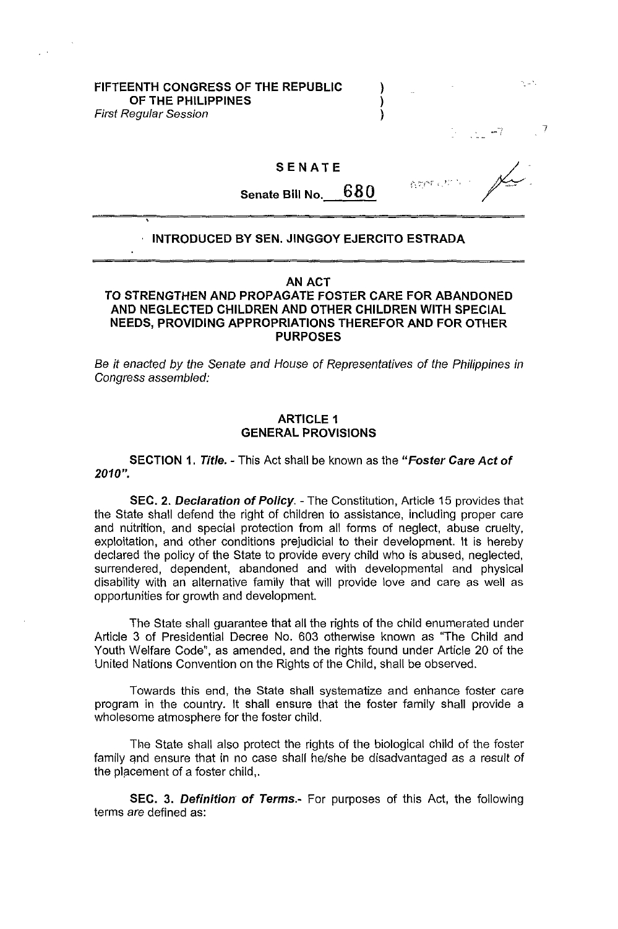## FIFTEENTH CONGRESS OF THE REPUBLIC  $\qquad \qquad$  ) OF THE PHILIPPINES First Regular Session (1999) (1999)

# SENATE

Senate Bill No.  $680$ 

7

# , INTRODUCED BY SEN. JINGGOY EJERCITO ESTRADA

# AN ACT

# TO STRENGTHEN AND PROPAGATE FOSTER CARE FOR ABANDONED AND NEGLECTED CHILDREN AND OTHER CHILDREN WITH SPECIAL NEEDS, PROVIDING APPROPRIATIONS THEREFOR AND FOR OTHER PURPOSES

Be it enacted by the Senate and House of Representatives of the Philippines in Congress assembled:

# ARTICLE 1 GENERAL PROVISIONS

SECTION 1. Title. - This Act shall be known as the "Foster Care Act of *2010".* 

SEC. 2. Declaration of Policy. - The Constitution, Article 15 provides that the State shall defend the right of children to assistance, including proper care and nutrition, and special protection from all forms of neglect, abuse cruelty, exploitation, and other conditions prejudicial to their development. It is hereby declared the policy of the State to provide every child who is abused, neglected, surrendered, dependent, abandoned and with developmental and physical disability with an alternative family that will provide love and care as well as opportunities for growth and development.

The State shall guarantee that all the rights of the child enumerated under Article 3 of Presidential Decree No. 603 otherwise known as "The Child and Youth Welfare Code", as amended, and the rights found under Article 20 of the United Nations Convention on the Rights of the Child, shall be observed.

Towards this end, the State shall systematize and enhance foster care program in the country. It shall ensure that the foster family shall provide a wholesome atmosphere for the foster child,

The State shall also protect the rights of the biological child of the foster family qnd ensure that in no case shall he/she be disadvantaged as a result of the placement of a foster child,.

SEC. 3. Definition of Terms.- For purposes of this Act, the following terms are defined as: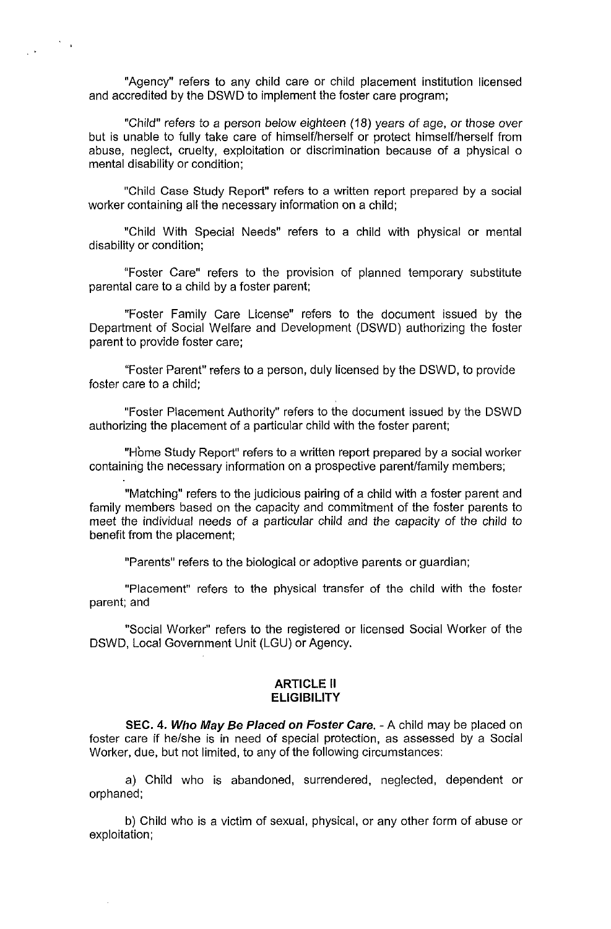"Agency" refers to any child care or child placement institution licensed and accredited by the DSWD to implement the foster care program;

 $\frac{1}{2} \frac{1}{2} \frac{1}{2}$ 

 $\mathcal{L}^{\mathcal{L}}$ 

"Child" refers to a person below eighteen (18) years of age, or those over but is unable to fully take care of himself/herself or protect himself/herself from abuse, neglect, cruelty, exploitation or discrimination because of a physical 0 mental disability or condition;

"Child Case Study Report" refers to a written report prepared by a social worker containing all the necessary information on a child;

"Child With Special Needs" refers to a child with physical or mental disability or condition;

"Foster Care" refers to the provision of planned temporary substitute parental care to a child by a foster parent;

"Foster Family Care License" refers to the document issued by the Department of Social Welfare and Development (DSWD) authorizing the foster parent to provide foster care;

"Foster Parent" refers to a person, duly licensed by the DSWD, to provide foster care to a child;

"Foster Placement Authority" refers to the document issued by the DSWD authorizing the placement of a particular child with the foster parent;

"Home Study Report" refers to a written report prepared by a social worker containing the necessary information on a prospective parent/family members;

"Matching" refers to the judicious pairing of a child with a foster parent and family members based on the capacity and commitment of the foster parents to meet the individual needs of a particular child and the capacity of the child to benefit from the placement;

"Parents" refers to the biological or adoptive parents or guardian;

"Placement" refers to the physical transfer of the child with the foster parent; and

"Social Worker" refers to the registered or licensed Social Worker of the DSWD, Local Government Unit (LGU) or Agency.

## **ARTICLE II ELIGIBILITY**

**SEC. 4. Who May Be Placed on Foster Care.** - A child may be placed on foster care if he/she is in need of special protection, as assessed by a Social Worker, due, but not limited, to any of the following circumstances:

a) Child who is abandoned, surrendered, neglected, dependent or orphaned;

b) Child who is a victim of sexual, physical, or any other form of abuse or exploitation;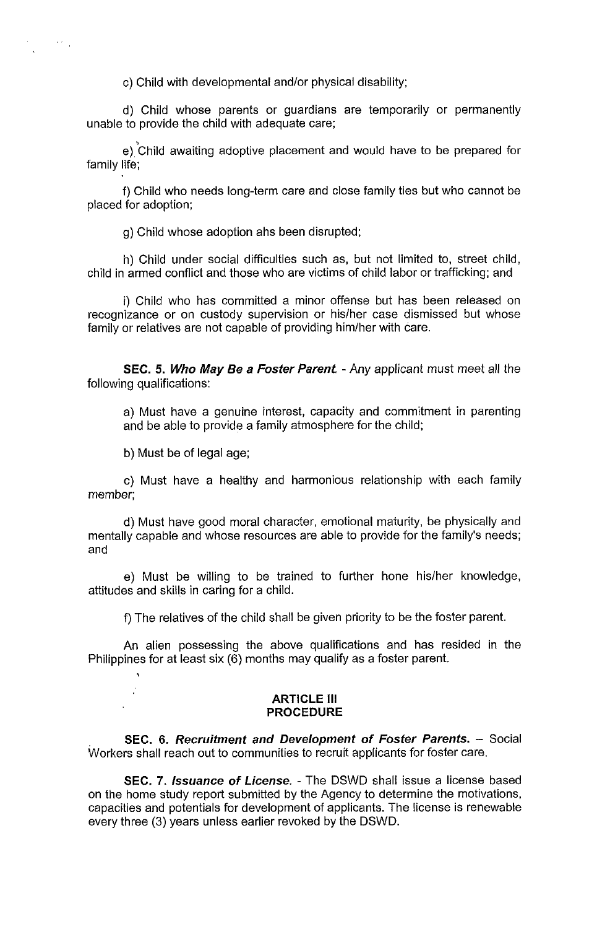c) Child with developmental and/or physical disability;

d) Child whose parents or guardians are temporarily or permanently unable to provide the child with adequate care;

e) Child awaiting adoptive placement and would have to be prepared for family life;

f) Child who needs long-term care and close family ties but who cannot be placed for adoption;

g) Child whose adoption ahs been disrupted;

h) Child under social difficulties such as, but not limited to, street child, child in armed conflict and those who are victims of child labor or trafficking; and

i) Child who has committed a minor offense but has been released on recognizance or on custody supervision or his/her case dismissed but whose family or relatives are not capable of providing him/her with care.

**SEC. 5. Who May Be a Foster Parent.** - Any applicant must meet all the following qualifications:

a) Must have a genuine interest, capacity and commitment in parenting and be able to provide a family atmosphere for the child;

b) Must be of legal age;

 $\left\langle \cdot,\cdot\right\rangle _{0}$ 

c) Must have a healthy and harmonious relationship with each family member;

d) Must have good moral character, emotional maturity, be physically and mentally capable and whose resources are able to provide for the family's needs; and

e) Must be willing to be trained to further hone his/her knowledge, attitudes and skills in caring for a child.

f) The relatives of the child shall be given priority to be the foster parent.

An alien possessing the above qualifications and has resided in the Philippines for at least six (6) months may qualify as a foster parent.

#### **ARTICLE III PROCEDURE**

**SEC. 6. Recruitment and Development of Foster Parents.** - Social Workers shall reach out to communities to recruit applicants for foster care.

**SEC. 7. Issuance of License.** - The DSWD shall issue a license based on the home study report submitted by the Agency to determine the motivations, capacities and potentials for development of applicants. The license is renewable every three (3) years unless earlier revoked by the DSWD.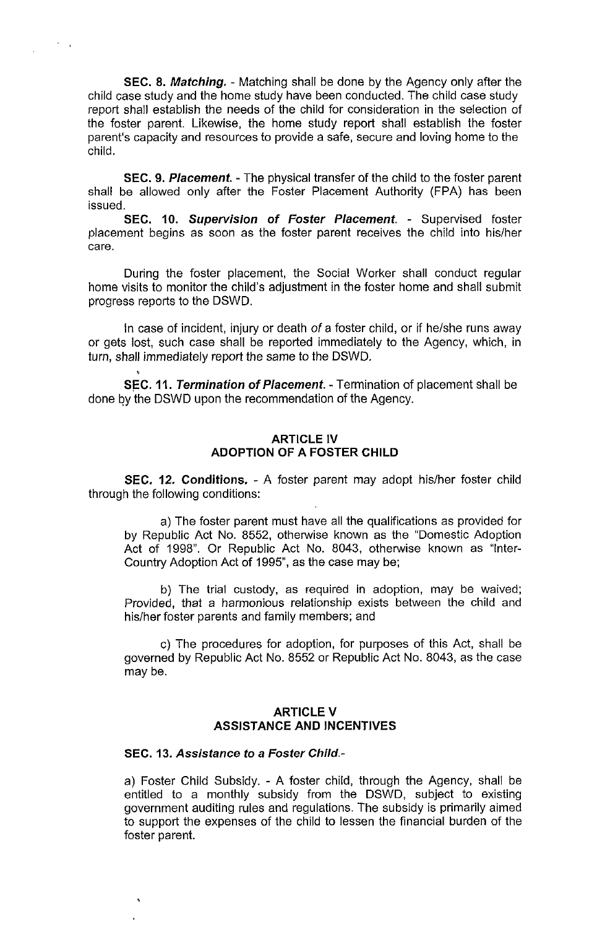**SEC. 8. Matching.** - Matching shall be done by the Agency only after the child case study and the home study have been conducted. The child case study report shall establish the needs of the child for consideration in the selection of the foster parent. Likewise, the home study report shall establish the foster parent's capacity and resources to provide a safe, secure and loving home to the child.

 $\lambda_{\rm max}$ 

**SEC. 9. Placement.** - The physical transfer of the child to the foster parent shall be allowed only after the Foster Placement Authority (FPA) has been issued.

**SEC. 10. Supervision of Foster Placement.** - Supervised foster placement begins as soon as the foster parent receives the child into his/her care.

During the foster placement, the Social Worker shall conduct regular home visits to monitor the child's adjustment in the foster home and shall submit progress reports to the DSWD.

In case of incident, injury or death of a foster child, or if he/she runs away or gets lost, such case shall be reported immediately to the Agency, which, in turn, shall immediately report the same to the DSWD.

**SEC. 11. Termination of Placement. - Termination of placement shall be** done by the DSWD upon the recommendation of the Agency.

# **ARTICLE IV ADOPTION OF A FOSTER CHILD**

**SEC. 12. Conditions.** - A foster parent may adopt his/her foster child through the following conditions:

a) The foster parent must have all the qualifications as provided for by Republic Act No. 8552, otherwise known as the "Domestic Adoption Act of 1998". Or Republic Act No. 8043, otherwise known as "Inter-Country Adoption Act of 1995", as the case may be;

b) The trial custody, as required in adoption, may be waived; Provided, that a harmonious relationship exists between the child and his/her foster parents and family members; and

c) The procedures for adoption, for purposes of this Act, shall be governed by Republic Act No. 8552 or Republic Act No. 8043, as the case may be.

# **ARTICLE V ASSISTANCE AND INCENTIVES**

## **SEC. 13. Assistance to a Foster Child.-**

a) Foster Child Subsidy. - A foster child, through the Agency, shall be entitled to a monthly subsidy from the DSWD, subject to existing government auditing rules and regulations. The subsidy is primarily aimed to support the expenses of the child to lessen the financial burden of the foster parent.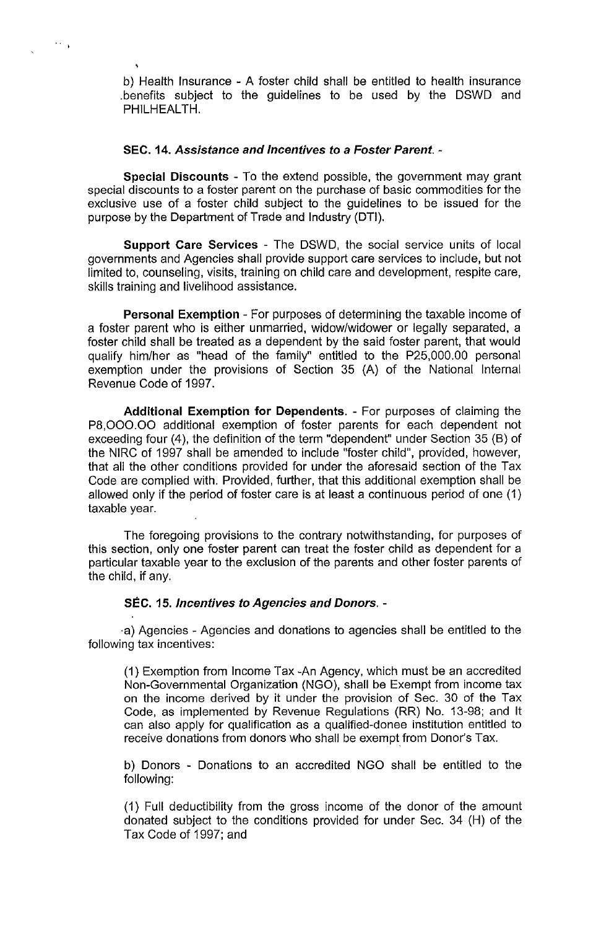b) Health Insurance - A foster child shall be entitled to health insurance .benefits subject to the guidelines to be used by the DSWD and PHILHEAL TH.

# SEC. 14. Assistance and Incentives to a Foster Parent. -

 $\sim$   $^{-1}$ 

Special Discounts - To the extend possible, the government may grant special discounts to a foster parent on the purchase of basic commodities for the exclusive use of a foster child subject to the guidelines to be issued for the purpose by the Department of Trade and Industry (DTI).

Support Care Services - The DSWD, the social service units of local governments and Agencies shall provide support care services to inciude, but not limited to, counseling, visits, training on child care and development, respite care, skills training and livelihood assistance.

Personal Exemption - For purposes of determining the taxable income of a foster parent who is either unmarried, widow/widower or legally separated, a foster child shall be treated as a dependent by the said foster parent, that would qualify him/her as "head of the family" entitled to the P25,000.00 personal exemption under the provisions of Section 35 (A) of the National Internal Revenue Code of 1997.

Additional Exemption for Dependents. - For purposes of claiming the P8,OOO.OO additional exemption of foster parents for each dependent not exceeding four (4), the definition of the term "dependent" under Section 35 (6) of the NIRC of 1997 shall be amended to include "foster child", provided, however, that all the other conditions provided for under the aforesaid section of the Tax Code are complied with. Provided, further, that this additional exemption shall be allowed only if the period of foster care is at least a continuous period of one (1) taxable year.

The foregoing provisions to the contrary notwithstanding, for purposes of this section, only one foster parent can treat the foster child as dependent for a particular taxable year to the exclusion of the parents and other foster parents of the child, if any.

# SEC. 15. Incentives to Agencies and Donors. -

·a) Agencies - Agencies and donations to agencies shall be entitled to the following tax incentives:

(1) Exemption from Income Tax -An Agency, which must be an accredited Non-Governmental Organization (NGO), shall be Exempt from income tax on the income derived by it under the provision of Sec. 30 of the Tax Code, as implemented by Revenue Regulations (RR) No. 13-98; and It can also apply for qualification as a qualified-donee institution entitled to receive donations from donors who shall be exempt from Donor's Tax.

b) Donors - Donations to an accredited NGO shall be entitled to the following:

(1) Full deductibility from the gross income of the donor of the amount donated subject to the conditions provided for under Sec. 34 (H) of the Tax Code of 1997; and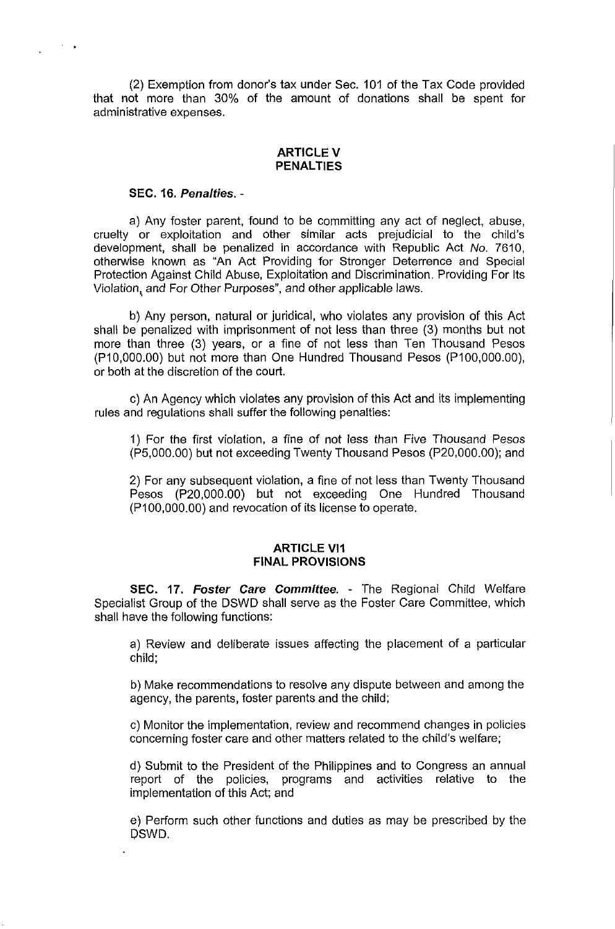(2) Exemption from donor's tax under Sec. 101 of the Tax Code provided that not more than 30% of the amount of donations shall be spent for administrative expenses.

### ARTICLE V **PENALTIES**

#### **SEC. 16. Penalties. -**

 $\sigma_{\rm{max}}$ 

a) Any foster parent, found to be committing any act of neglect, abuse, cruelty or exploitation and other similar acts prejudicial to the child's development, shall be penalized in accordance with Republic Act No. 7610, otherwise known as "An Act Providing for Stronger Deterrence and Special Protection Against Child Abuse, Exploitation and Discrimination. Providing For Its Violation, and For Other Purposes", and other applicable laws.

b) Any person, natural or juridical, who violates any provision of this Act shall be penalized with imprisonment of not less than three (3) months but not more than three (3) years, or a fine of not less than Ten Thousand Pesos (P10,000.00) but not more than One Hundred Thousand Pesos (P100,000.00), or both at the discretion of the court.

c) An Agency which violates any provision of this Act and its implementing rules and regulations shall suffer the following penalties:

1) For the first violation, a fine of not less than Five Thousand Pesos (P5,000.00) but not exceeding Twenty Thousand Pesos (P20,000.00); and

2) For any subsequent violation, a fine of not less than Twenty Thousand Pesos (P20,000.00) but not exceeding One Hundred Thousand (P100,000.00) and revocation of its license to operate.

# **ARTICLE VI1 FINAL PROVISIONS**

**SEC. 17. Foster Care Committee.** - The Regional Child Welfare Specialist Group of the DSWD shall serve as the Foster Care Committee, which shall have the following functions:

a) Review and deliberate issues affecting the placement of a particular child;

b) Make recommendations to resolve any dispute between and among the agency, the parents, foster parents and the child;

c) Monitor the implementation, review and recommend changes in policies concerning foster care and other matters related to the child's welfare;

d) Submit to the President of the Philippines and to Congress an annual report of the policies, programs and activities relative to the implementation of this Act; and

e) Perform such other functions and duties as may be prescribed by the DSWD.